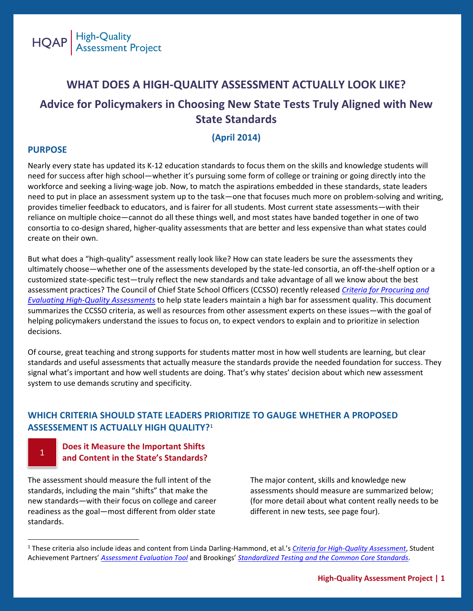

## **WHAT DOES A HIGH-QUALITY ASSESSMENT ACTUALLY LOOK LIKE? Advice for Policymakers in Choosing New State Tests Truly Aligned with New State Standards**

### **(April 2014)**

### **PURPOSE**

 $\overline{\phantom{a}}$ 

1

Nearly every state has updated its K-12 education standards to focus them on the skills and knowledge students will need for success after high school—whether it's pursuing some form of college or training or going directly into the workforce and seeking a living-wage job. Now, to match the aspirations embedded in these standards, state leaders need to put in place an assessment system up to the task—one that focuses much more on problem-solving and writing, provides timelier feedback to educators, and is fairer for all students. Most current state assessments—with their reliance on multiple choice—cannot do all these things well, and most states have banded together in one of two consortia to co-design shared, higher-quality assessments that are better and less expensive than what states could create on their own.

But what does a "high-quality" assessment really look like? How can state leaders be sure the assessments they ultimately choose—whether one of the assessments developed by the state-led consortia, an off-the-shelf option or a customized state-specific test—truly reflect the new standards and take advantage of all we know about the best assessment practices? The Council of Chief State School Officers (CCSSO) recently released *[Criteria for Procuring and](http://www.ccsso.org/Documents/2014/CCSSO%20Criteria%20for%20High%20Quality%20Assessments%2003242014.pdf)  [Evaluating High-Quality Assessments](http://www.ccsso.org/Documents/2014/CCSSO%20Criteria%20for%20High%20Quality%20Assessments%2003242014.pdf)* to help state leaders maintain a high bar for assessment quality. This document summarizes the CCSSO criteria, as well as resources from other assessment experts on these issues—with the goal of helping policymakers understand the issues to focus on, to expect vendors to explain and to prioritize in selection decisions.

Of course, great teaching and strong supports for students matter most in how well students are learning, but clear standards and useful assessments that actually measure the standards provide the needed foundation for success. They signal what's important and how well students are doing. That's why states' decision about which new assessment system to use demands scrutiny and specificity.

### **WHICH CRITERIA SHOULD STATE LEADERS PRIORITIZE TO GAUGE WHETHER A PROPOSED ASSESSEMENT IS ACTUALLY HIGH QUALITY?**<sup>1</sup>

### **Does it Measure the Important Shifts and Content in the State's Standards?**

The assessment should measure the full intent of the standards, including the main "shifts" that make the new standards—with their focus on college and career readiness as the goal—most different from older state standards.

The major content, skills and knowledge new assessments should measure are summarized below; (for more detail about what content really needs to be different in new tests, see page four).

<sup>1</sup> These criteria also include ideas and content from Linda Darling-Hammond, et al.'s *[Criteria for High-Quality Assessment](https://edpolicy.stanford.edu/publications/pubs/847)*, Student Achievement Partners' *[Assessment Evaluation Tool](http://www.achieve.org/files/aet.pdf)* and Brookings' *[Standardized Testing and the Common Core Standards.](http://www.brookings.edu/research/reports/2013/10/30-standardized-testing-and-the-common-core-chingos)*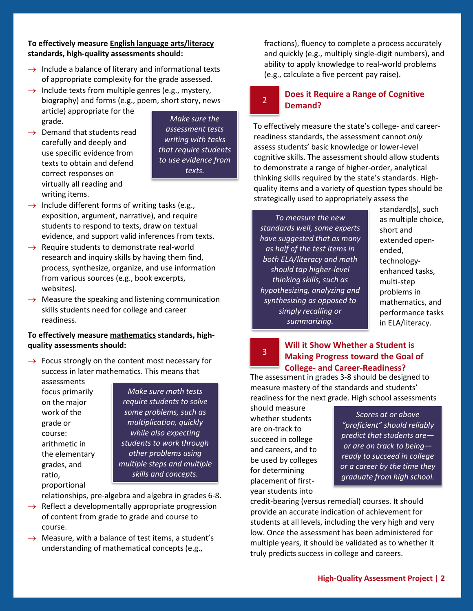### **To effectively measure English language arts/literacy standards, high-quality assessments should:**

- $\rightarrow$  Include a balance of literary and informational texts of appropriate complexity for the grade assessed.
- $\rightarrow$  Include texts from multiple genres (e.g., mystery, biography) and forms (e.g., poem, short story, news article) appropriate for the grade.
- $\rightarrow$  Demand that students read carefully and deeply and use specific evidence from texts to obtain and defend correct responses on virtually all reading and writing items.

*Make sure the assessment tests writing with tasks that require students to use evidence from texts.*

2

- $\rightarrow$  Include different forms of writing tasks (e.g., exposition, argument, narrative), and require students to respond to texts, draw on textual evidence, and support valid inferences from texts.
- $\rightarrow$  Require students to demonstrate real-world research and inquiry skills by having them find, process, synthesize, organize, and use information from various sources (e.g., book excerpts, websites).
- $\rightarrow$  Measure the speaking and listening communication skills students need for college and career readiness.

### **To effectively measure mathematics standards, highquality assessments should:**

 $\rightarrow$  Focus strongly on the content most necessary for success in later mathematics. This means that

assessments focus primarily on the major work of the grade or course: arithmetic in the elementary grades, and ratio, proportional

*Make sure math tests require students to solve some problems, such as multiplication, quickly while also expecting students to work through other problems using multiple steps and multiple skills and concepts.* 

relationships, pre-algebra and algebra in grades 6-8.

- $\rightarrow$  Reflect a developmentally appropriate progression of content from grade to grade and course to course.
- $\rightarrow$  Measure, with a balance of test items, a student's understanding of mathematical concepts (e.g.,

fractions), fluency to complete a process accurately and quickly (e.g., multiply single-digit numbers), and ability to apply knowledge to real-world problems (e.g., calculate a five percent pay raise).

### **Does it Require a Range of Cognitive Demand?**

To effectively measure the state's college- and careerreadiness standards, the assessment cannot *only* assess students' basic knowledge or lower-level cognitive skills. The assessment should allow students to demonstrate a range of higher-order, analytical thinking skills required by the state's standards. Highquality items and a variety of question types should be strategically used to appropriately assess the

*To measure the new standards well, some experts have suggested that as many as half of the test items in both ELA/literacy and math should tap higher-level thinking skills, such as hypothesizing, analyzing and synthesizing as opposed to simply recalling or summarizing.*

standard(s), such as multiple choice, short and extended openended, technologyenhanced tasks, multi-step problems in mathematics, and performance tasks in ELA/literacy.

### **Will it Show Whether a Student is Making Progress toward the Goal of College- and Career-Readiness?**

The assessment in grades 3-8 should be designed to measure mastery of the standards and students' readiness for the next grade. High school assessments

should measure whether students are on-track to succeed in college and careers, and to be used by colleges for determining placement of firstyear students into

3

*Scores at or above "proficient" should reliably predict that students are or are on track to being ready to succeed in college or a career by the time they graduate from high school.*

credit-bearing (versus remedial) courses. It should provide an accurate indication of achievement for students at all levels, including the very high and very low. Once the assessment has been administered for multiple years, it should be validated as to whether it truly predicts success in college and careers.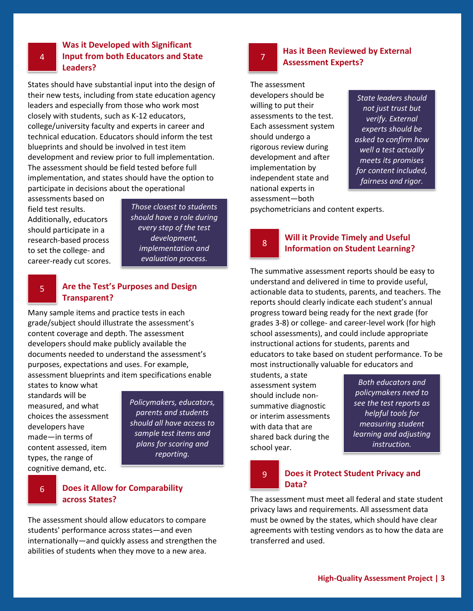### **Was it Developed with Significant Input from both Educators and State Leaders?**

States should have substantial input into the design of their new tests, including from state education agency leaders and especially from those who work most closely with students, such as K-12 educators, college/university faculty and experts in career and technical education. Educators should inform the test blueprints and should be involved in test item development and review prior to full implementation. The assessment should be field tested before full implementation, and states should have the option to participate in decisions about the operational

assessments based on field test results. Additionally, educators should participate in a research-based process to set the college- and career-ready cut scores.

*Those closest to students should have a role during every step of the test development, implementation and evaluation process.*

### 5 **Are the Test's Purposes and Design Transparent?**

Many sample items and practice tests in each grade/subject should illustrate the assessment's content coverage and depth. The assessment developers should make publicly available the documents needed to understand the assessment's purposes, expectations and uses. For example, assessment blueprints and item specifications enable

states to know what standards will be measured, and what choices the assessment developers have made—in terms of content assessed, item types, the range of cognitive demand, etc.

*Policymakers, educators, parents and students should all have access to sample test items and plans for scoring and reporting.*

### 6 **Does it Allow for Comparability across States?**

The assessment should allow educators to compare students' performance across states—and even internationally—and quickly assess and strengthen the abilities of students when they move to a new area.



**Has it Been Reviewed by External Assessment Experts?**

The assessment developers should be willing to put their assessments to the test. Each assessment system should undergo a rigorous review during development and after implementation by independent state and national experts in assessment—both

*State leaders should not just trust but verify. External experts should be asked to confirm how well a test actually meets its promises for content included, fairness and rigor.* 

psychometricians and content experts.

8

### **Will it Provide Timely and Useful Information on Student Learning?**

The summative assessment reports should be easy to understand and delivered in time to provide useful, actionable data to students, parents, and teachers. The reports should clearly indicate each student's annual progress toward being ready for the next grade (for grades 3-8) or college- and career-level work (for high school assessments), and could include appropriate instructional actions for students, parents and educators to take based on student performance. To be most instructionally valuable for educators and

students, a state assessment system should include nonsummative diagnostic or interim assessments with data that are shared back during the school year.

*Both educators and policymakers need to see the test reports as helpful tools for measuring student learning and adjusting instruction.*

# **Data?**

# 9 **Does it Protect Student Privacy and**

The assessment must meet all federal and state student privacy laws and requirements. All assessment data must be owned by the states, which should have clear agreements with testing vendors as to how the data are transferred and used.